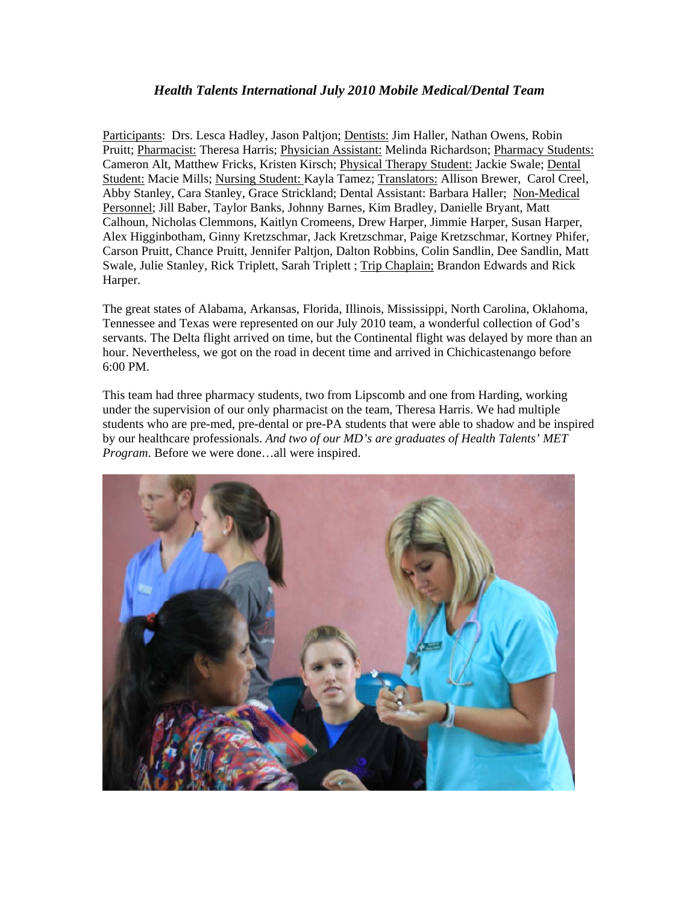## *Health Talents International July 2010 Mobile Medical/Dental Team*

Participants: Drs. Lesca Hadley, Jason Paltjon; Dentists: Jim Haller, Nathan Owens, Robin Pruitt; Pharmacist: Theresa Harris; Physician Assistant: Melinda Richardson; Pharmacy Students: Cameron Alt, Matthew Fricks, Kristen Kirsch; Physical Therapy Student: Jackie Swale; Dental Student: Macie Mills; Nursing Student: Kayla Tamez; Translators: Allison Brewer, Carol Creel, Abby Stanley, Cara Stanley, Grace Strickland; Dental Assistant: Barbara Haller; Non-Medical Personnel; Jill Baber, Taylor Banks, Johnny Barnes, Kim Bradley, Danielle Bryant, Matt Calhoun, Nicholas Clemmons, Kaitlyn Cromeens, Drew Harper, Jimmie Harper, Susan Harper, Alex Higginbotham, Ginny Kretzschmar, Jack Kretzschmar, Paige Kretzschmar, Kortney Phifer, Carson Pruitt, Chance Pruitt, Jennifer Paltjon, Dalton Robbins, Colin Sandlin, Dee Sandlin, Matt Swale, Julie Stanley, Rick Triplett, Sarah Triplett ; Trip Chaplain; Brandon Edwards and Rick Harper.

The great states of Alabama, Arkansas, Florida, Illinois, Mississippi, North Carolina, Oklahoma, Tennessee and Texas were represented on our July 2010 team, a wonderful collection of God's servants. The Delta flight arrived on time, but the Continental flight was delayed by more than an hour. Nevertheless, we got on the road in decent time and arrived in Chichicastenango before 6:00 PM.

This team had three pharmacy students, two from Lipscomb and one from Harding, working under the supervision of our only pharmacist on the team, Theresa Harris. We had multiple students who are pre-med, pre-dental or pre-PA students that were able to shadow and be inspired by our healthcare professionals. *And two of our MD's are graduates of Health Talents' MET Program*. Before we were done…all were inspired.

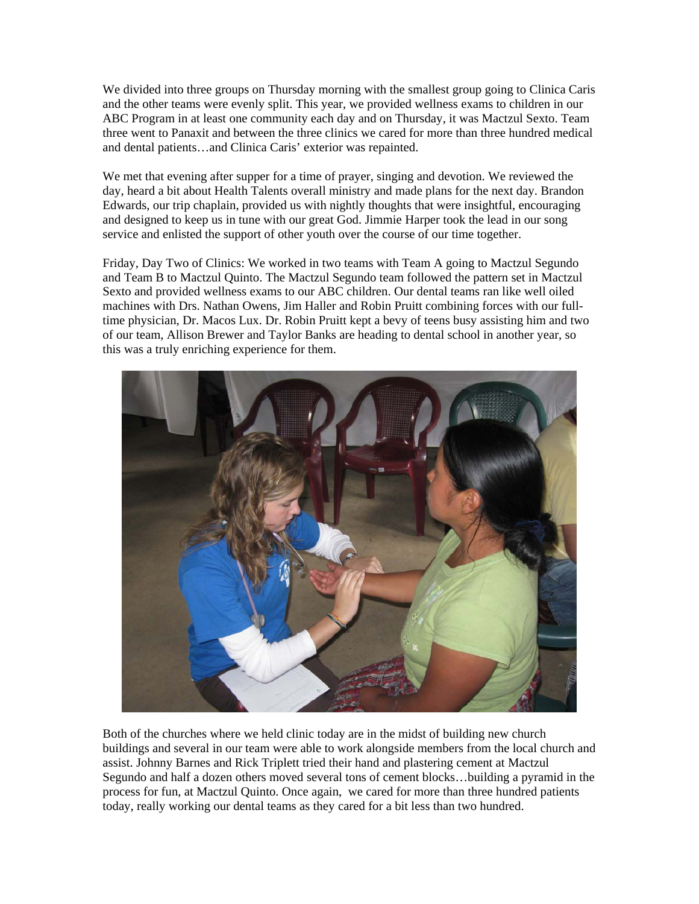We divided into three groups on Thursday morning with the smallest group going to Clinica Caris and the other teams were evenly split. This year, we provided wellness exams to children in our ABC Program in at least one community each day and on Thursday, it was Mactzul Sexto. Team three went to Panaxit and between the three clinics we cared for more than three hundred medical and dental patients…and Clinica Caris' exterior was repainted.

We met that evening after supper for a time of prayer, singing and devotion. We reviewed the day, heard a bit about Health Talents overall ministry and made plans for the next day. Brandon Edwards, our trip chaplain, provided us with nightly thoughts that were insightful, encouraging and designed to keep us in tune with our great God. Jimmie Harper took the lead in our song service and enlisted the support of other youth over the course of our time together.

Friday, Day Two of Clinics: We worked in two teams with Team A going to Mactzul Segundo and Team B to Mactzul Quinto. The Mactzul Segundo team followed the pattern set in Mactzul Sexto and provided wellness exams to our ABC children. Our dental teams ran like well oiled machines with Drs. Nathan Owens, Jim Haller and Robin Pruitt combining forces with our fulltime physician, Dr. Macos Lux. Dr. Robin Pruitt kept a bevy of teens busy assisting him and two of our team, Allison Brewer and Taylor Banks are heading to dental school in another year, so this was a truly enriching experience for them.



Both of the churches where we held clinic today are in the midst of building new church buildings and several in our team were able to work alongside members from the local church and assist. Johnny Barnes and Rick Triplett tried their hand and plastering cement at Mactzul Segundo and half a dozen others moved several tons of cement blocks…building a pyramid in the process for fun, at Mactzul Quinto. Once again, we cared for more than three hundred patients today, really working our dental teams as they cared for a bit less than two hundred.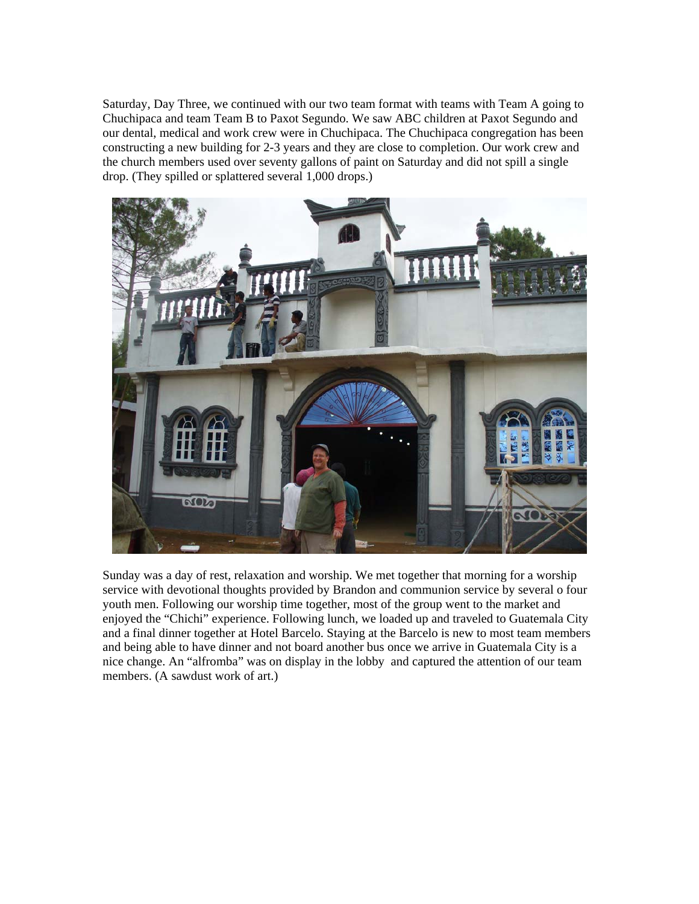Saturday, Day Three, we continued with our two team format with teams with Team A going to Chuchipaca and team Team B to Paxot Segundo. We saw ABC children at Paxot Segundo and our dental, medical and work crew were in Chuchipaca. The Chuchipaca congregation has been constructing a new building for 2-3 years and they are close to completion. Our work crew and the church members used over seventy gallons of paint on Saturday and did not spill a single drop. (They spilled or splattered several 1,000 drops.)



Sunday was a day of rest, relaxation and worship. We met together that morning for a worship service with devotional thoughts provided by Brandon and communion service by several o four youth men. Following our worship time together, most of the group went to the market and enjoyed the "Chichi" experience. Following lunch, we loaded up and traveled to Guatemala City and a final dinner together at Hotel Barcelo. Staying at the Barcelo is new to most team members and being able to have dinner and not board another bus once we arrive in Guatemala City is a nice change. An "alfromba" was on display in the lobby and captured the attention of our team members. (A sawdust work of art.)